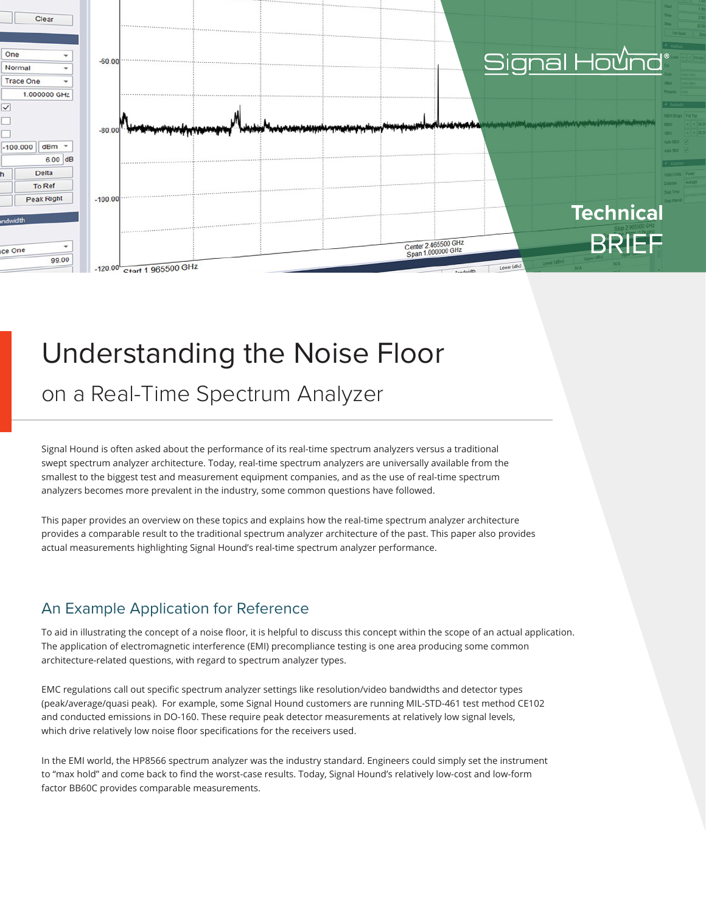

# Understanding the Noise Floor

on a Real-Time Spectrum Analyzer

Signal Hound is often asked about the performance of its real-time spectrum analyzers versus a traditional swept spectrum analyzer architecture. Today, real-time spectrum analyzers are universally available from the smallest to the biggest test and measurement equipment companies, and as the use of real-time spectrum analyzers becomes more prevalent in the industry, some common questions have followed.

This paper provides an overview on these topics and explains how the real-time spectrum analyzer architecture provides a comparable result to the traditional spectrum analyzer architecture of the past. This paper also provides actual measurements highlighting Signal Hound's real-time spectrum analyzer performance.

#### An Example Application for Reference

To aid in illustrating the concept of a noise floor, it is helpful to discuss this concept within the scope of an actual application. The application of electromagnetic interference (EMI) precompliance testing is one area producing some common architecture-related questions, with regard to spectrum analyzer types.

EMC regulations call out specific spectrum analyzer settings like resolution/video bandwidths and detector types (peak/average/quasi peak). For example, some Signal Hound customers are running MIL-STD-461 test method CE102 and conducted emissions in DO-160. These require peak detector measurements at relatively low signal levels, which drive relatively low noise floor specifications for the receivers used.

In the EMI world, the HP8566 spectrum analyzer was the industry standard. Engineers could simply set the instrument to "max hold" and come back to find the worst-case results. Today, Signal Hound's relatively low-cost and low-form factor BB60C provides comparable measurements.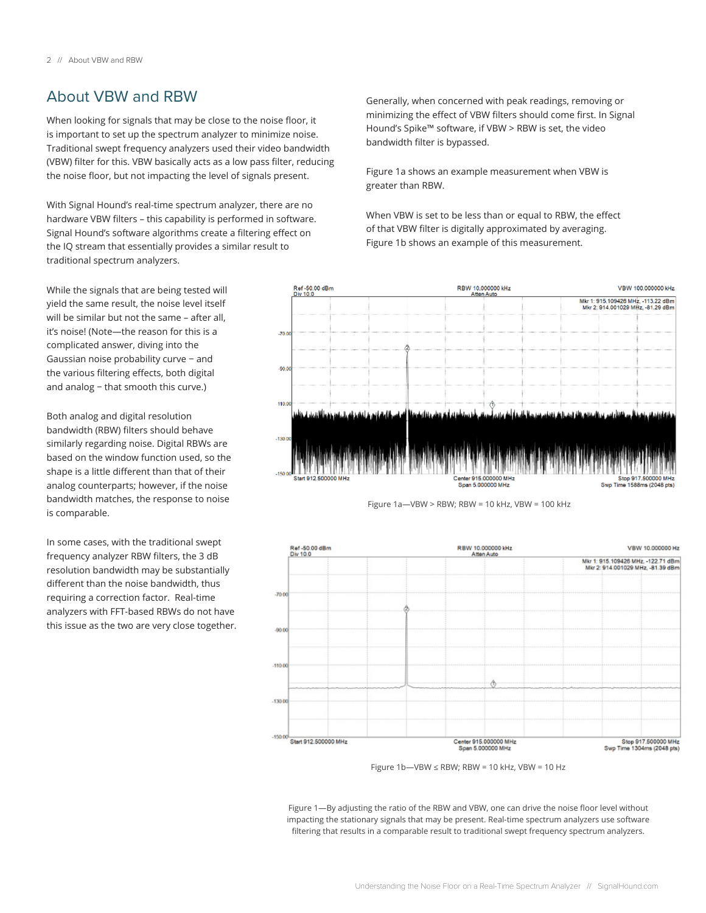#### About VBW and RBW

When looking for signals that may be close to the noise floor, it is important to set up the spectrum analyzer to minimize noise. Traditional swept frequency analyzers used their video bandwidth (VBW) filter for this. VBW basically acts as a low pass filter, reducing the noise floor, but not impacting the level of signals present.

With Signal Hound's real-time spectrum analyzer, there are no hardware VBW filters – this capability is performed in software. Signal Hound's software algorithms create a filtering effect on the IQ stream that essentially provides a similar result to traditional spectrum analyzers.

While the signals that are being tested will yield the same result, the noise level itself will be similar but not the same – after all, it's noise! (Note—the reason for this is a complicated answer, diving into the Gaussian noise probability curve − and the various filtering effects, both digital and analog − that smooth this curve.)

Both analog and digital resolution bandwidth (RBW) filters should behave similarly regarding noise. Digital RBWs are based on the window function used, so the shape is a little different than that of their analog counterparts; however, if the noise bandwidth matches, the response to noise is comparable.

In some cases, with the traditional swept frequency analyzer RBW filters, the 3 dB resolution bandwidth may be substantially different than the noise bandwidth, thus requiring a correction factor. Real-time analyzers with FFT-based RBWs do not have this issue as the two are very close together. Generally, when concerned with peak readings, removing or minimizing the effect of VBW filters should come first. In Signal Hound's Spike™ software, if VBW > RBW is set, the video bandwidth filter is bypassed.

Figure 1a shows an example measurement when VBW is greater than RBW.

When VBW is set to be less than or equal to RBW, the effect of that VBW filter is digitally approximated by averaging. Figure 1b shows an example of this measurement.







Figure 1b—VBW ≤ RBW; RBW = 10 kHz, VBW = 10 Hz

Figure 1—By adjusting the ratio of the RBW and VBW, one can drive the noise floor level without impacting the stationary signals that may be present. Real-time spectrum analyzers use software filtering that results in a comparable result to traditional swept frequency spectrum analyzers.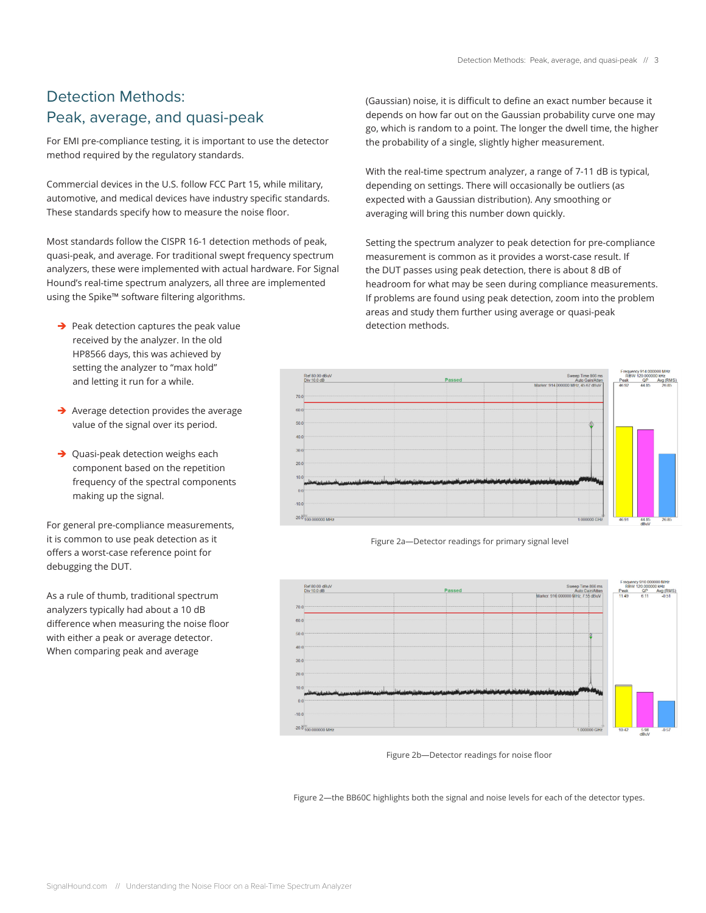### Detection Methods: Peak, average, and quasi-peak

For EMI pre-compliance testing, it is important to use the detector method required by the regulatory standards.

Commercial devices in the U.S. follow FCC Part 15, while military, automotive, and medical devices have industry specific standards. These standards specify how to measure the noise floor.

Most standards follow the CISPR 16-1 detection methods of peak, quasi-peak, and average. For traditional swept frequency spectrum analyzers, these were implemented with actual hardware. For Signal Hound's real-time spectrum analyzers, all three are implemented using the Spike™ software filtering algorithms.

- $\rightarrow$  Peak detection captures the peak value received by the analyzer. In the old HP8566 days, this was achieved by setting the analyzer to "max hold" and letting it run for a while.
- $\rightarrow$  Average detection provides the average value of the signal over its period.
- $\rightarrow$  Quasi-peak detection weighs each component based on the repetition frequency of the spectral components making up the signal.

For general pre-compliance measurements, it is common to use peak detection as it offers a worst-case reference point for debugging the DUT.

As a rule of thumb, traditional spectrum analyzers typically had about a 10 dB difference when measuring the noise floor with either a peak or average detector. When comparing peak and average

(Gaussian) noise, it is difficult to define an exact number because it depends on how far out on the Gaussian probability curve one may go, which is random to a point. The longer the dwell time, the higher the probability of a single, slightly higher measurement.

With the real-time spectrum analyzer, a range of 7-11 dB is typical, depending on settings. There will occasionally be outliers (as expected with a Gaussian distribution). Any smoothing or averaging will bring this number down quickly.

Setting the spectrum analyzer to peak detection for pre-compliance measurement is common as it provides a worst-case result. If the DUT passes using peak detection, there is about 8 dB of headroom for what may be seen during compliance measurements. If problems are found using peak detection, zoom into the problem areas and study them further using average or quasi-peak detection methods.







Figure 2b—Detector readings for noise floor

Figure 2—the BB60C highlights both the signal and noise levels for each of the detector types.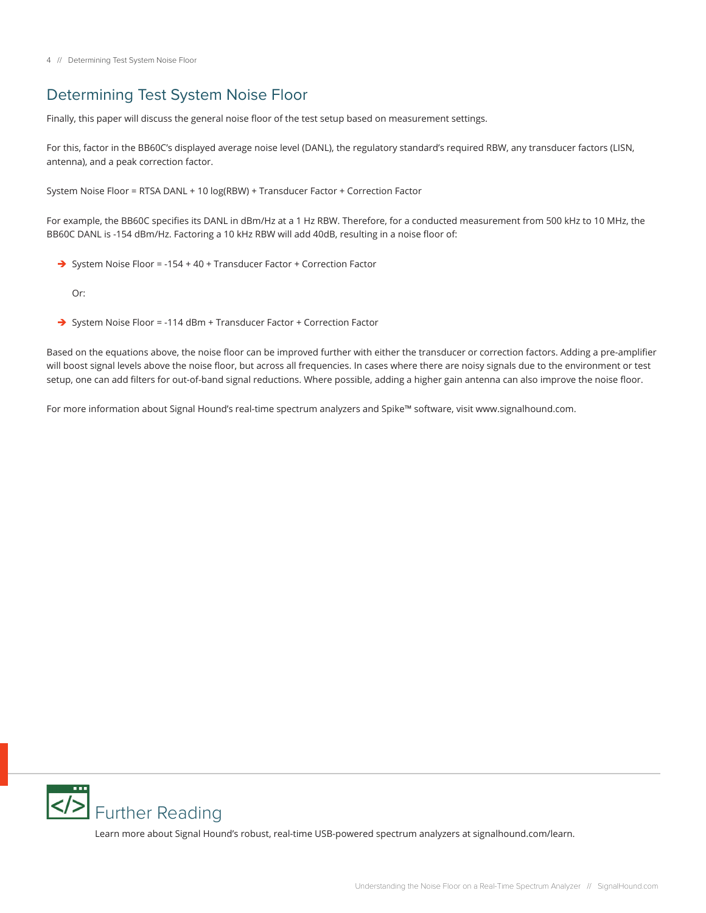#### Determining Test System Noise Floor

Finally, this paper will discuss the general noise floor of the test setup based on measurement settings.

For this, factor in the BB60C's displayed average noise level (DANL), the regulatory standard's required RBW, any transducer factors (LISN, antenna), and a peak correction factor.

System Noise Floor = RTSA DANL + 10 log(RBW) + Transducer Factor + Correction Factor

For example, the BB60C specifies its DANL in dBm/Hz at a 1 Hz RBW. Therefore, for a conducted measurement from 500 kHz to 10 MHz, the BB60C DANL is -154 dBm/Hz. Factoring a 10 kHz RBW will add 40dB, resulting in a noise floor of:

→ System Noise Floor = -154 + 40 + Transducer Factor + Correction Factor

Or:

→ System Noise Floor = -114 dBm + Transducer Factor + Correction Factor

Based on the equations above, the noise floor can be improved further with either the transducer or correction factors. Adding a pre-amplifier will boost signal levels above the noise floor, but across all frequencies. In cases where there are noisy signals due to the environment or test setup, one can add filters for out-of-band signal reductions. Where possible, adding a higher gain antenna can also improve the noise floor.

For more information about Signal Hound's real-time spectrum analyzers and Spike™ software, visit www.signalhound.com.



Learn more about Signal Hound's robust, real-time USB-powered spectrum analyzers at signalhound.com/learn.